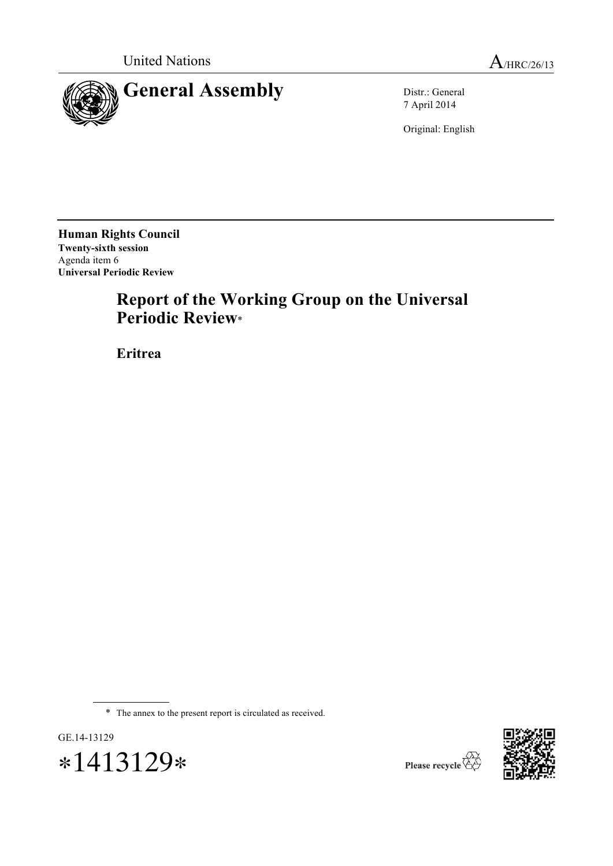



7 April 2014

Original: English

**Human Rights Council Twenty-sixth session** Agenda item 6 **Universal Periodic Review**

# **Report of the Working Group on the Universal Periodic Review**\*

**Eritrea**

\* The annex to the present report is circulated as received.





Please recycle  $\overleftrightarrow{C}$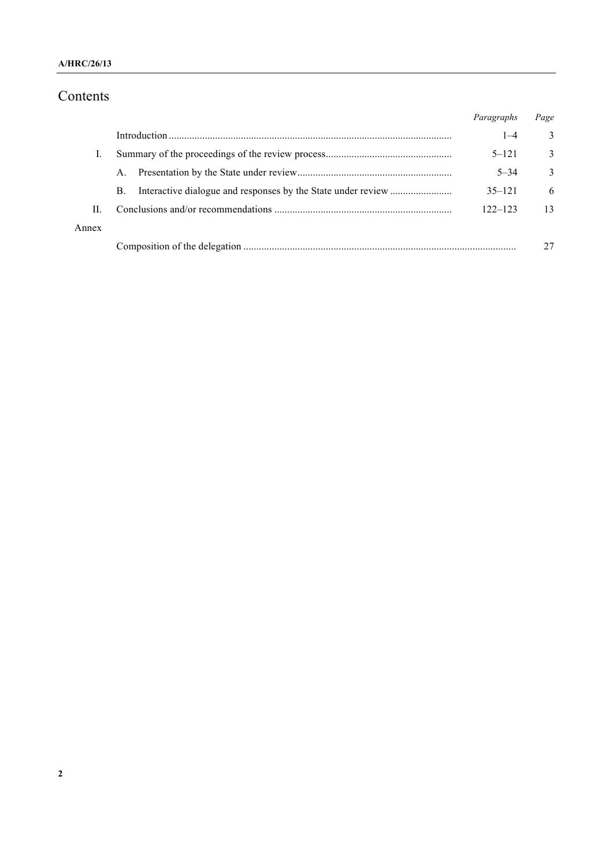#### **A/HRC/26/13**

# Contents

|       |             | Paragraphs  | Page |
|-------|-------------|-------------|------|
|       |             | $1 - 4$     | 3    |
|       |             | $5 - 121$   | 3    |
|       | $A_{\cdot}$ | $5 - 34$    | 3    |
|       | <b>B.</b>   | $35 - 121$  | 6    |
| H.    |             | $122 - 123$ | 13   |
| Annex |             |             |      |
|       |             |             |      |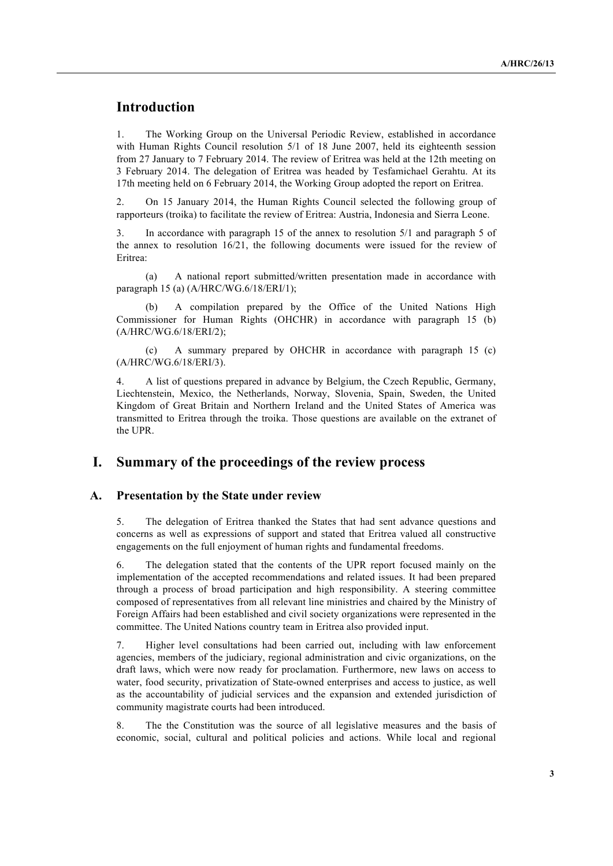# **Introduction**

1. The Working Group on the Universal Periodic Review, established in accordance with Human Rights Council resolution 5/1 of 18 June 2007, held its eighteenth session from 27 January to 7 February 2014. The review of Eritrea was held at the 12th meeting on 3 February 2014. The delegation of Eritrea was headed by Tesfamichael Gerahtu. At its 17th meeting held on 6 February 2014, the Working Group adopted the report on Eritrea.

2. On 15 January 2014, the Human Rights Council selected the following group of rapporteurs (troika) to facilitate the review of Eritrea: Austria, Indonesia and Sierra Leone.

3. In accordance with paragraph 15 of the annex to resolution 5/1 and paragraph 5 of the annex to resolution 16/21, the following documents were issued for the review of Eritrea:

(a) A national report submitted/written presentation made in accordance with paragraph 15 (a) (A/HRC/WG.6/18/ERI/1);

(b) A compilation prepared by the Office of the United Nations High Commissioner for Human Rights (OHCHR) in accordance with paragraph 15 (b) (A/HRC/WG.6/18/ERI/2);

(c) A summary prepared by OHCHR in accordance with paragraph 15 (c) (A/HRC/WG.6/18/ERI/3).

4. A list of questions prepared in advance by Belgium, the Czech Republic, Germany, Liechtenstein, Mexico, the Netherlands, Norway, Slovenia, Spain, Sweden, the United Kingdom of Great Britain and Northern Ireland and the United States of America was transmitted to Eritrea through the troika. Those questions are available on the extranet of the UPR.

## **I. Summary of the proceedings of the review process**

#### **A. Presentation by the State under review**

5. The delegation of Eritrea thanked the States that had sent advance questions and concerns as well as expressions of support and stated that Eritrea valued all constructive engagements on the full enjoyment of human rights and fundamental freedoms.

6. The delegation stated that the contents of the UPR report focused mainly on the implementation of the accepted recommendations and related issues. It had been prepared through a process of broad participation and high responsibility. A steering committee composed of representatives from all relevant line ministries and chaired by the Ministry of Foreign Affairs had been established and civil society organizations were represented in the committee. The United Nations country team in Eritrea also provided input.

7. Higher level consultations had been carried out, including with law enforcement agencies, members of the judiciary, regional administration and civic organizations, on the draft laws, which were now ready for proclamation. Furthermore, new laws on access to water, food security, privatization of State-owned enterprises and access to justice, as well as the accountability of judicial services and the expansion and extended jurisdiction of community magistrate courts had been introduced.

8. The the Constitution was the source of all legislative measures and the basis of economic, social, cultural and political policies and actions. While local and regional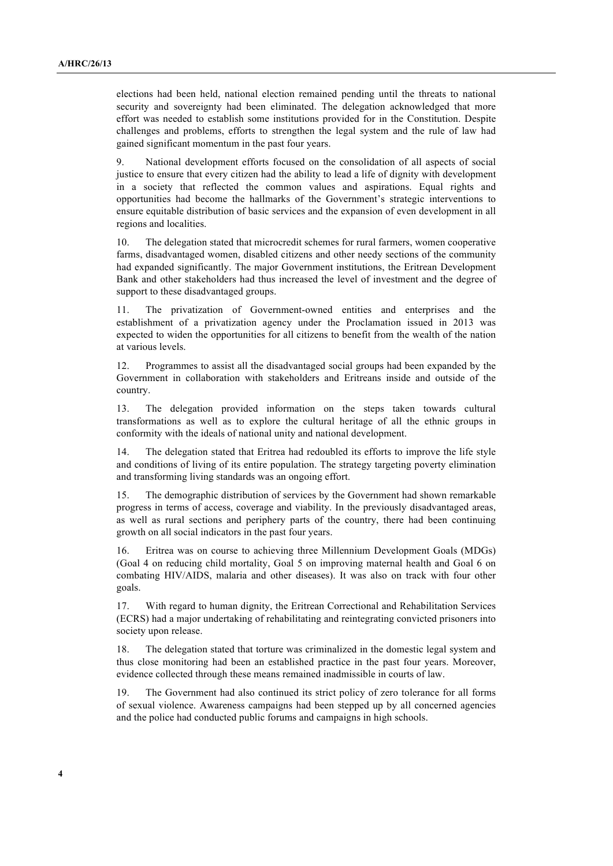elections had been held, national election remained pending until the threats to national security and sovereignty had been eliminated. The delegation acknowledged that more effort was needed to establish some institutions provided for in the Constitution. Despite challenges and problems, efforts to strengthen the legal system and the rule of law had gained significant momentum in the past four years.

9. National development efforts focused on the consolidation of all aspects of social justice to ensure that every citizen had the ability to lead a life of dignity with development in a society that reflected the common values and aspirations. Equal rights and opportunities had become the hallmarks of the Government's strategic interventions to ensure equitable distribution of basic services and the expansion of even development in all regions and localities.

10. The delegation stated that microcredit schemes for rural farmers, women cooperative farms, disadvantaged women, disabled citizens and other needy sections of the community had expanded significantly. The major Government institutions, the Eritrean Development Bank and other stakeholders had thus increased the level of investment and the degree of support to these disadvantaged groups.

11. The privatization of Government-owned entities and enterprises and the establishment of a privatization agency under the Proclamation issued in 2013 was expected to widen the opportunities for all citizens to benefit from the wealth of the nation at various levels.

12. Programmes to assist all the disadvantaged social groups had been expanded by the Government in collaboration with stakeholders and Eritreans inside and outside of the country.

13. The delegation provided information on the steps taken towards cultural transformations as well as to explore the cultural heritage of all the ethnic groups in conformity with the ideals of national unity and national development.

14. The delegation stated that Eritrea had redoubled its efforts to improve the life style and conditions of living of its entire population. The strategy targeting poverty elimination and transforming living standards was an ongoing effort.

15. The demographic distribution of services by the Government had shown remarkable progress in terms of access, coverage and viability. In the previously disadvantaged areas, as well as rural sections and periphery parts of the country, there had been continuing growth on all social indicators in the past four years.

16. Eritrea was on course to achieving three Millennium Development Goals (MDGs) (Goal 4 on reducing child mortality, Goal 5 on improving maternal health and Goal 6 on combating HIV/AIDS, malaria and other diseases). It was also on track with four other goals.

17. With regard to human dignity, the Eritrean Correctional and Rehabilitation Services (ECRS) had a major undertaking of rehabilitating and reintegrating convicted prisoners into society upon release.

18. The delegation stated that torture was criminalized in the domestic legal system and thus close monitoring had been an established practice in the past four years. Moreover, evidence collected through these means remained inadmissible in courts of law.

19. The Government had also continued its strict policy of zero tolerance for all forms of sexual violence. Awareness campaigns had been stepped up by all concerned agencies and the police had conducted public forums and campaigns in high schools.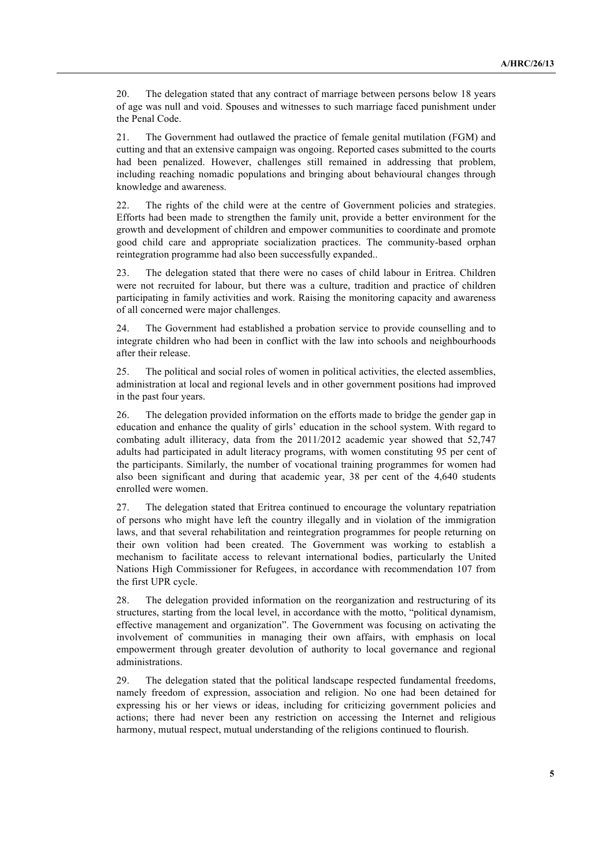20. The delegation stated that any contract of marriage between persons below 18 years of age was null and void. Spouses and witnesses to such marriage faced punishment under the Penal Code.

21. The Government had outlawed the practice of female genital mutilation (FGM) and cutting and that an extensive campaign was ongoing. Reported cases submitted to the courts had been penalized. However, challenges still remained in addressing that problem, including reaching nomadic populations and bringing about behavioural changes through knowledge and awareness.

22. The rights of the child were at the centre of Government policies and strategies. Efforts had been made to strengthen the family unit, provide a better environment for the growth and development of children and empower communities to coordinate and promote good child care and appropriate socialization practices. The community-based orphan reintegration programme had also been successfully expanded..

23. The delegation stated that there were no cases of child labour in Eritrea. Children were not recruited for labour, but there was a culture, tradition and practice of children participating in family activities and work. Raising the monitoring capacity and awareness of all concerned were major challenges.

24. The Government had established a probation service to provide counselling and to integrate children who had been in conflict with the law into schools and neighbourhoods after their release.

25. The political and social roles of women in political activities, the elected assemblies, administration at local and regional levels and in other government positions had improved in the past four years.

26. The delegation provided information on the efforts made to bridge the gender gap in education and enhance the quality of girls' education in the school system. With regard to combating adult illiteracy, data from the 2011/2012 academic year showed that 52,747 adults had participated in adult literacy programs, with women constituting 95 per cent of the participants. Similarly, the number of vocational training programmes for women had also been significant and during that academic year, 38 per cent of the 4,640 students enrolled were women.

27. The delegation stated that Eritrea continued to encourage the voluntary repatriation of persons who might have left the country illegally and in violation of the immigration laws, and that several rehabilitation and reintegration programmes for people returning on their own volition had been created. The Government was working to establish a mechanism to facilitate access to relevant international bodies, particularly the United Nations High Commissioner for Refugees, in accordance with recommendation 107 from the first UPR cycle.

28. The delegation provided information on the reorganization and restructuring of its structures, starting from the local level, in accordance with the motto, "political dynamism, effective management and organization". The Government was focusing on activating the involvement of communities in managing their own affairs, with emphasis on local empowerment through greater devolution of authority to local governance and regional administrations.

29. The delegation stated that the political landscape respected fundamental freedoms, namely freedom of expression, association and religion. No one had been detained for expressing his or her views or ideas, including for criticizing government policies and actions; there had never been any restriction on accessing the Internet and religious harmony, mutual respect, mutual understanding of the religions continued to flourish.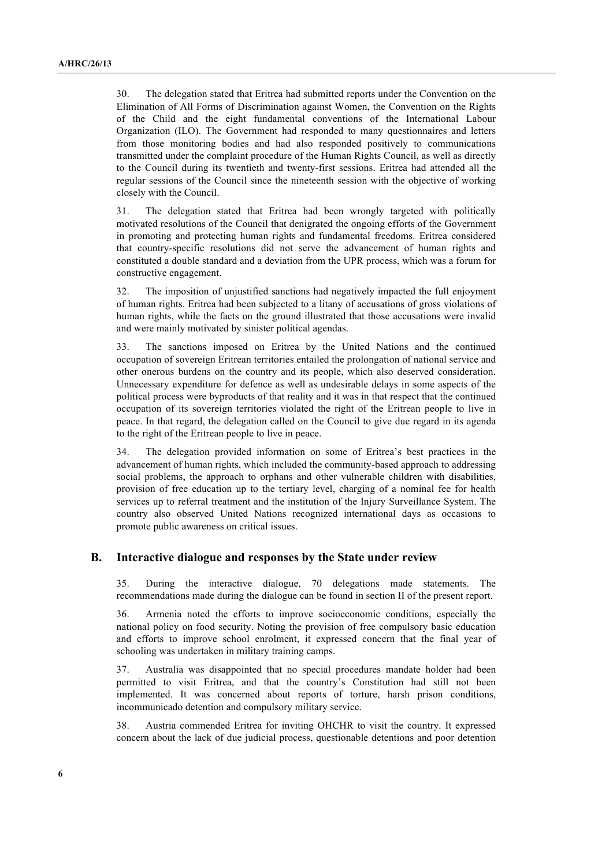30. The delegation stated that Eritrea had submitted reports under the Convention on the Elimination of All Forms of Discrimination against Women, the Convention on the Rights of the Child and the eight fundamental conventions of the International Labour Organization (ILO). The Government had responded to many questionnaires and letters from those monitoring bodies and had also responded positively to communications transmitted under the complaint procedure of the Human Rights Council, as well as directly to the Council during its twentieth and twenty-first sessions. Eritrea had attended all the regular sessions of the Council since the nineteenth session with the objective of working closely with the Council.

31. The delegation stated that Eritrea had been wrongly targeted with politically motivated resolutions of the Council that denigrated the ongoing efforts of the Government in promoting and protecting human rights and fundamental freedoms. Eritrea considered that country-specific resolutions did not serve the advancement of human rights and constituted a double standard and a deviation from the UPR process, which was a forum for constructive engagement.

32. The imposition of unjustified sanctions had negatively impacted the full enjoyment of human rights. Eritrea had been subjected to a litany of accusations of gross violations of human rights, while the facts on the ground illustrated that those accusations were invalid and were mainly motivated by sinister political agendas.

33. The sanctions imposed on Eritrea by the United Nations and the continued occupation of sovereign Eritrean territories entailed the prolongation of national service and other onerous burdens on the country and its people, which also deserved consideration. Unnecessary expenditure for defence as well as undesirable delays in some aspects of the political process were byproducts of that reality and it was in that respect that the continued occupation of its sovereign territories violated the right of the Eritrean people to live in peace. In that regard, the delegation called on the Council to give due regard in its agenda to the right of the Eritrean people to live in peace.

34. The delegation provided information on some of Eritrea's best practices in the advancement of human rights, which included the community-based approach to addressing social problems, the approach to orphans and other vulnerable children with disabilities, provision of free education up to the tertiary level, charging of a nominal fee for health services up to referral treatment and the institution of the Injury Surveillance System. The country also observed United Nations recognized international days as occasions to promote public awareness on critical issues.

#### **B. Interactive dialogue and responses by the State under review**

35. During the interactive dialogue, 70 delegations made statements. The recommendations made during the dialogue can be found in section II of the present report.

36. Armenia noted the efforts to improve socioeconomic conditions, especially the national policy on food security. Noting the provision of free compulsory basic education and efforts to improve school enrolment, it expressed concern that the final year of schooling was undertaken in military training camps.

37. Australia was disappointed that no special procedures mandate holder had been permitted to visit Eritrea, and that the country's Constitution had still not been implemented. It was concerned about reports of torture, harsh prison conditions, incommunicado detention and compulsory military service.

38. Austria commended Eritrea for inviting OHCHR to visit the country. It expressed concern about the lack of due judicial process, questionable detentions and poor detention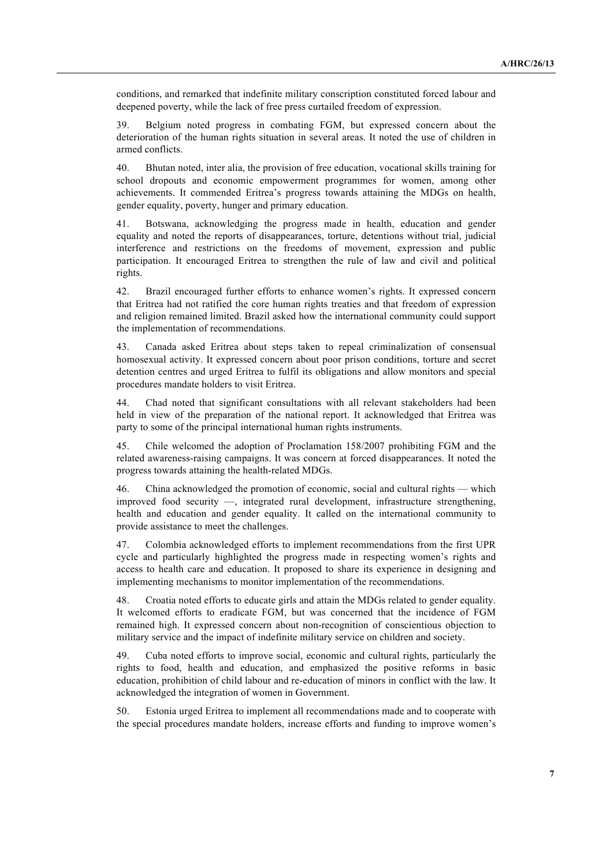conditions, and remarked that indefinite military conscription constituted forced labour and deepened poverty, while the lack of free press curtailed freedom of expression.

39. Belgium noted progress in combating FGM, but expressed concern about the deterioration of the human rights situation in several areas. It noted the use of children in armed conflicts.

40. Bhutan noted, inter alia, the provision of free education, vocational skills training for school dropouts and economic empowerment programmes for women, among other achievements. It commended Eritrea's progress towards attaining the MDGs on health, gender equality, poverty, hunger and primary education.

41. Botswana, acknowledging the progress made in health, education and gender equality and noted the reports of disappearances, torture, detentions without trial, judicial interference and restrictions on the freedoms of movement, expression and public participation. It encouraged Eritrea to strengthen the rule of law and civil and political rights.

42. Brazil encouraged further efforts to enhance women's rights. It expressed concern that Eritrea had not ratified the core human rights treaties and that freedom of expression and religion remained limited. Brazil asked how the international community could support the implementation of recommendations.

43. Canada asked Eritrea about steps taken to repeal criminalization of consensual homosexual activity. It expressed concern about poor prison conditions, torture and secret detention centres and urged Eritrea to fulfil its obligations and allow monitors and special procedures mandate holders to visit Eritrea.

44. Chad noted that significant consultations with all relevant stakeholders had been held in view of the preparation of the national report. It acknowledged that Eritrea was party to some of the principal international human rights instruments.

45. Chile welcomed the adoption of Proclamation 158/2007 prohibiting FGM and the related awareness-raising campaigns. It was concern at forced disappearances. It noted the progress towards attaining the health-related MDGs.

46. China acknowledged the promotion of economic, social and cultural rights — which improved food security —, integrated rural development, infrastructure strengthening, health and education and gender equality. It called on the international community to provide assistance to meet the challenges.

47. Colombia acknowledged efforts to implement recommendations from the first UPR cycle and particularly highlighted the progress made in respecting women's rights and access to health care and education. It proposed to share its experience in designing and implementing mechanisms to monitor implementation of the recommendations.

48. Croatia noted efforts to educate girls and attain the MDGs related to gender equality. It welcomed efforts to eradicate FGM, but was concerned that the incidence of FGM remained high. It expressed concern about non-recognition of conscientious objection to military service and the impact of indefinite military service on children and society.

49. Cuba noted efforts to improve social, economic and cultural rights, particularly the rights to food, health and education, and emphasized the positive reforms in basic education, prohibition of child labour and re-education of minors in conflict with the law. It acknowledged the integration of women in Government.

50. Estonia urged Eritrea to implement all recommendations made and to cooperate with the special procedures mandate holders, increase efforts and funding to improve women's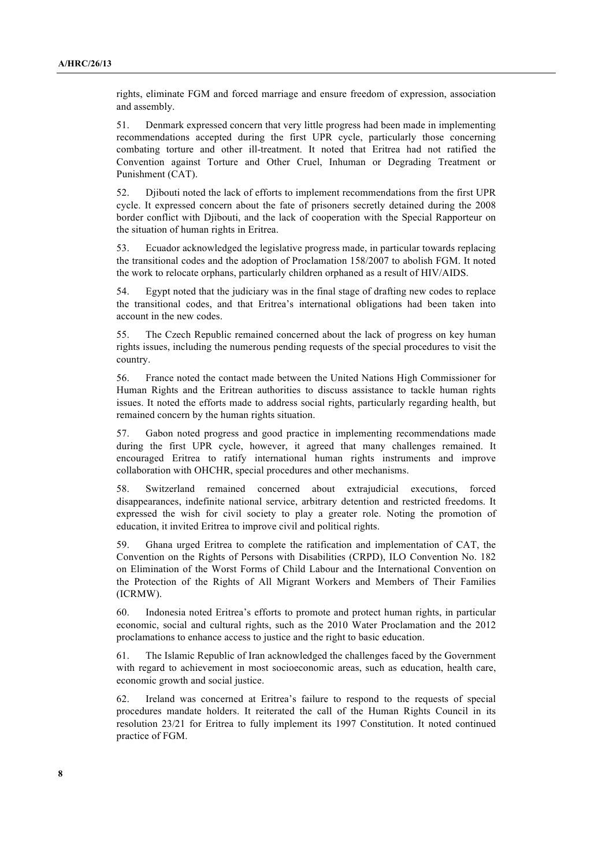rights, eliminate FGM and forced marriage and ensure freedom of expression, association and assembly.

51. Denmark expressed concern that very little progress had been made in implementing recommendations accepted during the first UPR cycle, particularly those concerning combating torture and other ill-treatment. It noted that Eritrea had not ratified the Convention against Torture and Other Cruel, Inhuman or Degrading Treatment or Punishment (CAT).

52. Djibouti noted the lack of efforts to implement recommendations from the first UPR cycle. It expressed concern about the fate of prisoners secretly detained during the 2008 border conflict with Djibouti, and the lack of cooperation with the Special Rapporteur on the situation of human rights in Eritrea.

53. Ecuador acknowledged the legislative progress made, in particular towards replacing the transitional codes and the adoption of Proclamation 158/2007 to abolish FGM. It noted the work to relocate orphans, particularly children orphaned as a result of HIV/AIDS.

54. Egypt noted that the judiciary was in the final stage of drafting new codes to replace the transitional codes, and that Eritrea's international obligations had been taken into account in the new codes.

55. The Czech Republic remained concerned about the lack of progress on key human rights issues, including the numerous pending requests of the special procedures to visit the country.

56. France noted the contact made between the United Nations High Commissioner for Human Rights and the Eritrean authorities to discuss assistance to tackle human rights issues. It noted the efforts made to address social rights, particularly regarding health, but remained concern by the human rights situation.

57. Gabon noted progress and good practice in implementing recommendations made during the first UPR cycle, however, it agreed that many challenges remained. It encouraged Eritrea to ratify international human rights instruments and improve collaboration with OHCHR, special procedures and other mechanisms.

58. Switzerland remained concerned about extrajudicial executions, forced disappearances, indefinite national service, arbitrary detention and restricted freedoms. It expressed the wish for civil society to play a greater role. Noting the promotion of education, it invited Eritrea to improve civil and political rights.

59. Ghana urged Eritrea to complete the ratification and implementation of CAT, the Convention on the Rights of Persons with Disabilities (CRPD), ILO Convention No. 182 on Elimination of the Worst Forms of Child Labour and the International Convention on the Protection of the Rights of All Migrant Workers and Members of Their Families (ICRMW).

60. Indonesia noted Eritrea's efforts to promote and protect human rights, in particular economic, social and cultural rights, such as the 2010 Water Proclamation and the 2012 proclamations to enhance access to justice and the right to basic education.

61. The Islamic Republic of Iran acknowledged the challenges faced by the Government with regard to achievement in most socioeconomic areas, such as education, health care, economic growth and social justice.

62. Ireland was concerned at Eritrea's failure to respond to the requests of special procedures mandate holders. It reiterated the call of the Human Rights Council in its resolution 23/21 for Eritrea to fully implement its 1997 Constitution. It noted continued practice of FGM.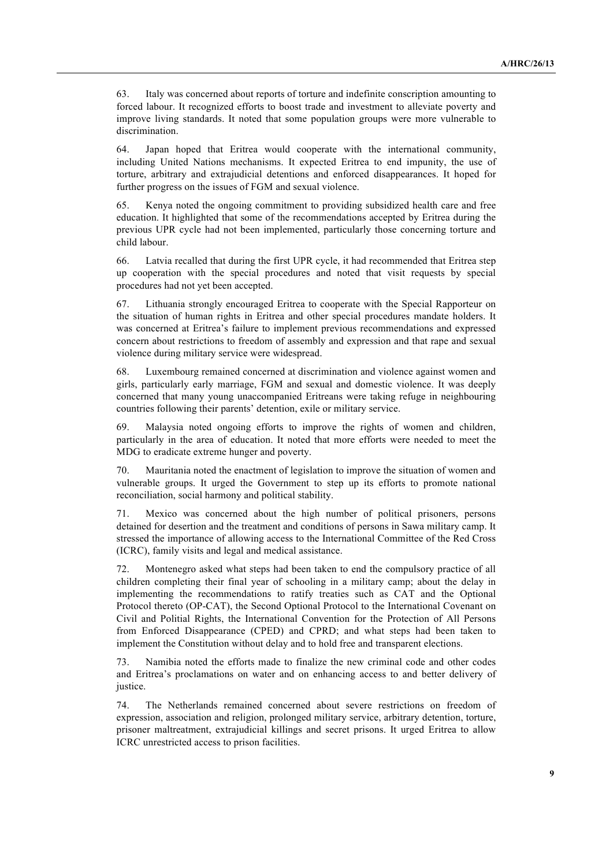63. Italy was concerned about reports of torture and indefinite conscription amounting to forced labour. It recognized efforts to boost trade and investment to alleviate poverty and improve living standards. It noted that some population groups were more vulnerable to discrimination.

64. Japan hoped that Eritrea would cooperate with the international community, including United Nations mechanisms. It expected Eritrea to end impunity, the use of torture, arbitrary and extrajudicial detentions and enforced disappearances. It hoped for further progress on the issues of FGM and sexual violence.

65. Kenya noted the ongoing commitment to providing subsidized health care and free education. It highlighted that some of the recommendations accepted by Eritrea during the previous UPR cycle had not been implemented, particularly those concerning torture and child labour.

66. Latvia recalled that during the first UPR cycle, it had recommended that Eritrea step up cooperation with the special procedures and noted that visit requests by special procedures had not yet been accepted.

67. Lithuania strongly encouraged Eritrea to cooperate with the Special Rapporteur on the situation of human rights in Eritrea and other special procedures mandate holders. It was concerned at Eritrea's failure to implement previous recommendations and expressed concern about restrictions to freedom of assembly and expression and that rape and sexual violence during military service were widespread.

68. Luxembourg remained concerned at discrimination and violence against women and girls, particularly early marriage, FGM and sexual and domestic violence. It was deeply concerned that many young unaccompanied Eritreans were taking refuge in neighbouring countries following their parents' detention, exile or military service.

69. Malaysia noted ongoing efforts to improve the rights of women and children, particularly in the area of education. It noted that more efforts were needed to meet the MDG to eradicate extreme hunger and poverty.

70. Mauritania noted the enactment of legislation to improve the situation of women and vulnerable groups. It urged the Government to step up its efforts to promote national reconciliation, social harmony and political stability.

71. Mexico was concerned about the high number of political prisoners, persons detained for desertion and the treatment and conditions of persons in Sawa military camp. It stressed the importance of allowing access to the International Committee of the Red Cross (ICRC), family visits and legal and medical assistance.

72. Montenegro asked what steps had been taken to end the compulsory practice of all children completing their final year of schooling in a military camp; about the delay in implementing the recommendations to ratify treaties such as CAT and the Optional Protocol thereto (OP-CAT), the Second Optional Protocol to the International Covenant on Civil and Politial Rights, the International Convention for the Protection of All Persons from Enforced Disappearance (CPED) and CPRD; and what steps had been taken to implement the Constitution without delay and to hold free and transparent elections.

73. Namibia noted the efforts made to finalize the new criminal code and other codes and Eritrea's proclamations on water and on enhancing access to and better delivery of justice.

74. The Netherlands remained concerned about severe restrictions on freedom of expression, association and religion, prolonged military service, arbitrary detention, torture, prisoner maltreatment, extrajudicial killings and secret prisons. It urged Eritrea to allow ICRC unrestricted access to prison facilities.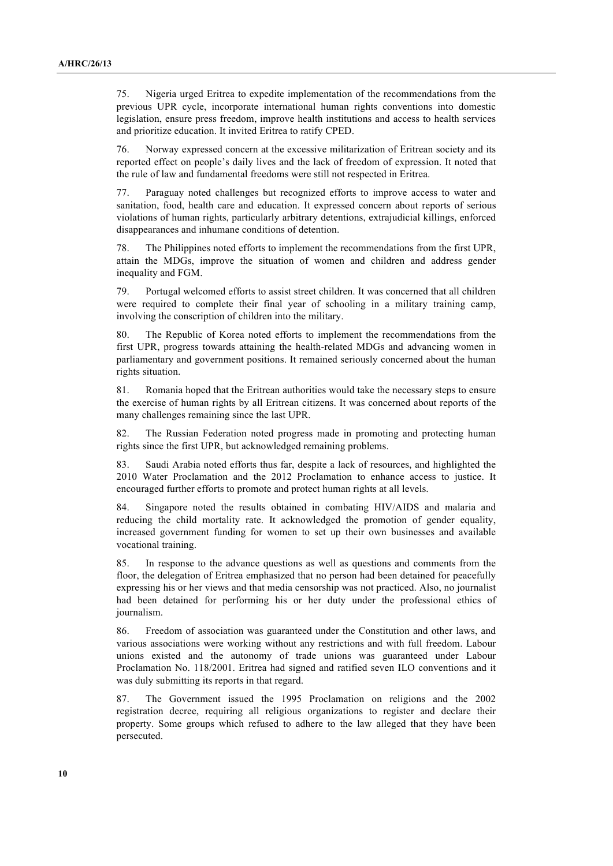75. Nigeria urged Eritrea to expedite implementation of the recommendations from the previous UPR cycle, incorporate international human rights conventions into domestic legislation, ensure press freedom, improve health institutions and access to health services and prioritize education. It invited Eritrea to ratify CPED.

76. Norway expressed concern at the excessive militarization of Eritrean society and its reported effect on people's daily lives and the lack of freedom of expression. It noted that the rule of law and fundamental freedoms were still not respected in Eritrea.

77. Paraguay noted challenges but recognized efforts to improve access to water and sanitation, food, health care and education. It expressed concern about reports of serious violations of human rights, particularly arbitrary detentions, extrajudicial killings, enforced disappearances and inhumane conditions of detention.

78. The Philippines noted efforts to implement the recommendations from the first UPR, attain the MDGs, improve the situation of women and children and address gender inequality and FGM.

79. Portugal welcomed efforts to assist street children. It was concerned that all children were required to complete their final year of schooling in a military training camp, involving the conscription of children into the military.

80. The Republic of Korea noted efforts to implement the recommendations from the first UPR, progress towards attaining the health-related MDGs and advancing women in parliamentary and government positions. It remained seriously concerned about the human rights situation.

81. Romania hoped that the Eritrean authorities would take the necessary steps to ensure the exercise of human rights by all Eritrean citizens. It was concerned about reports of the many challenges remaining since the last UPR.

82. The Russian Federation noted progress made in promoting and protecting human rights since the first UPR, but acknowledged remaining problems.

83. Saudi Arabia noted efforts thus far, despite a lack of resources, and highlighted the 2010 Water Proclamation and the 2012 Proclamation to enhance access to justice. It encouraged further efforts to promote and protect human rights at all levels.

84. Singapore noted the results obtained in combating HIV/AIDS and malaria and reducing the child mortality rate. It acknowledged the promotion of gender equality, increased government funding for women to set up their own businesses and available vocational training.

85. In response to the advance questions as well as questions and comments from the floor, the delegation of Eritrea emphasized that no person had been detained for peacefully expressing his or her views and that media censorship was not practiced. Also, no journalist had been detained for performing his or her duty under the professional ethics of journalism.

86. Freedom of association was guaranteed under the Constitution and other laws, and various associations were working without any restrictions and with full freedom. Labour unions existed and the autonomy of trade unions was guaranteed under Labour Proclamation No. 118/2001. Eritrea had signed and ratified seven ILO conventions and it was duly submitting its reports in that regard.

87. The Government issued the 1995 Proclamation on religions and the 2002 registration decree, requiring all religious organizations to register and declare their property. Some groups which refused to adhere to the law alleged that they have been persecuted.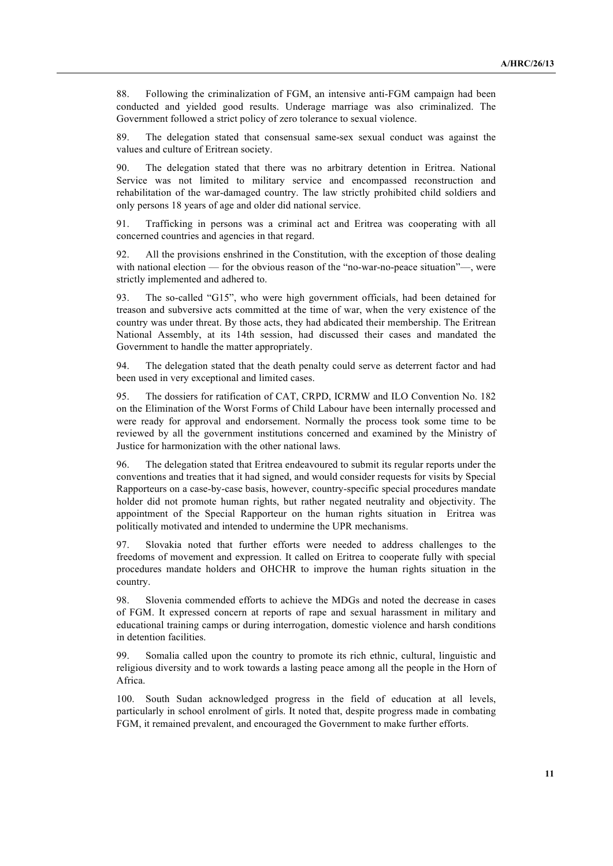88. Following the criminalization of FGM, an intensive anti-FGM campaign had been conducted and yielded good results. Underage marriage was also criminalized. The Government followed a strict policy of zero tolerance to sexual violence.

89. The delegation stated that consensual same-sex sexual conduct was against the values and culture of Eritrean society.

90. The delegation stated that there was no arbitrary detention in Eritrea. National Service was not limited to military service and encompassed reconstruction and rehabilitation of the war-damaged country. The law strictly prohibited child soldiers and only persons 18 years of age and older did national service.

91. Trafficking in persons was a criminal act and Eritrea was cooperating with all concerned countries and agencies in that regard.

92. All the provisions enshrined in the Constitution, with the exception of those dealing with national election — for the obvious reason of the "no-war-no-peace situation"—, were strictly implemented and adhered to.

93. The so-called "G15", who were high government officials, had been detained for treason and subversive acts committed at the time of war, when the very existence of the country was under threat. By those acts, they had abdicated their membership. The Eritrean National Assembly, at its 14th session, had discussed their cases and mandated the Government to handle the matter appropriately.

94. The delegation stated that the death penalty could serve as deterrent factor and had been used in very exceptional and limited cases.

95. The dossiers for ratification of CAT, CRPD, ICRMW and ILO Convention No. 182 on the Elimination of the Worst Forms of Child Labour have been internally processed and were ready for approval and endorsement. Normally the process took some time to be reviewed by all the government institutions concerned and examined by the Ministry of Justice for harmonization with the other national laws.

96. The delegation stated that Eritrea endeavoured to submit its regular reports under the conventions and treaties that it had signed, and would consider requests for visits by Special Rapporteurs on a case-by-case basis, however, country-specific special procedures mandate holder did not promote human rights, but rather negated neutrality and objectivity. The appointment of the Special Rapporteur on the human rights situation in Eritrea was politically motivated and intended to undermine the UPR mechanisms.

97. Slovakia noted that further efforts were needed to address challenges to the freedoms of movement and expression. It called on Eritrea to cooperate fully with special procedures mandate holders and OHCHR to improve the human rights situation in the country.

98. Slovenia commended efforts to achieve the MDGs and noted the decrease in cases of FGM. It expressed concern at reports of rape and sexual harassment in military and educational training camps or during interrogation, domestic violence and harsh conditions in detention facilities.

99. Somalia called upon the country to promote its rich ethnic, cultural, linguistic and religious diversity and to work towards a lasting peace among all the people in the Horn of Africa.

100. South Sudan acknowledged progress in the field of education at all levels, particularly in school enrolment of girls. It noted that, despite progress made in combating FGM, it remained prevalent, and encouraged the Government to make further efforts.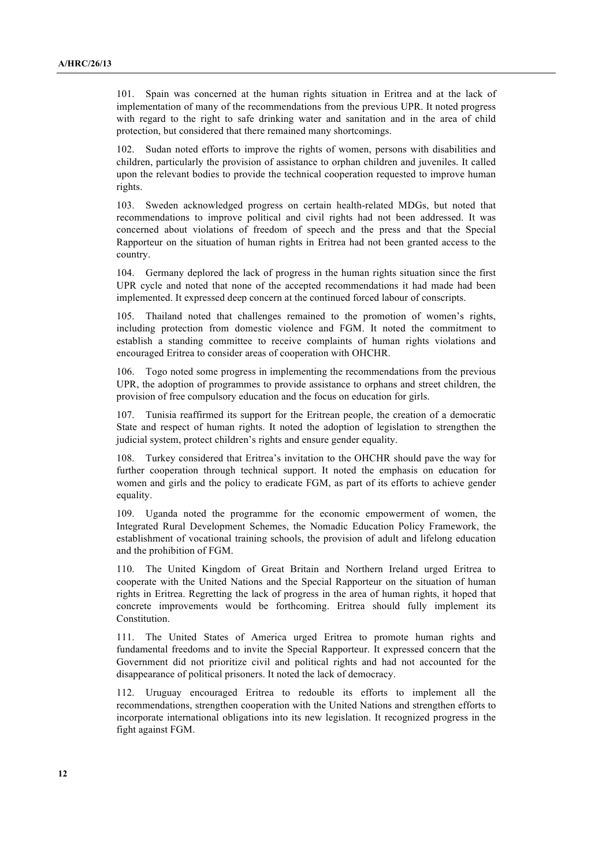101. Spain was concerned at the human rights situation in Eritrea and at the lack of implementation of many of the recommendations from the previous UPR. It noted progress with regard to the right to safe drinking water and sanitation and in the area of child protection, but considered that there remained many shortcomings.

102. Sudan noted efforts to improve the rights of women, persons with disabilities and children, particularly the provision of assistance to orphan children and juveniles. It called upon the relevant bodies to provide the technical cooperation requested to improve human rights.

103. Sweden acknowledged progress on certain health-related MDGs, but noted that recommendations to improve political and civil rights had not been addressed. It was concerned about violations of freedom of speech and the press and that the Special Rapporteur on the situation of human rights in Eritrea had not been granted access to the country.

104. Germany deplored the lack of progress in the human rights situation since the first UPR cycle and noted that none of the accepted recommendations it had made had been implemented. It expressed deep concern at the continued forced labour of conscripts.

105. Thailand noted that challenges remained to the promotion of women's rights, including protection from domestic violence and FGM. It noted the commitment to establish a standing committee to receive complaints of human rights violations and encouraged Eritrea to consider areas of cooperation with OHCHR.

106. Togo noted some progress in implementing the recommendations from the previous UPR, the adoption of programmes to provide assistance to orphans and street children, the provision of free compulsory education and the focus on education for girls.

107. Tunisia reaffirmed its support for the Eritrean people, the creation of a democratic State and respect of human rights. It noted the adoption of legislation to strengthen the judicial system, protect children's rights and ensure gender equality.

108. Turkey considered that Eritrea's invitation to the OHCHR should pave the way for further cooperation through technical support. It noted the emphasis on education for women and girls and the policy to eradicate FGM, as part of its efforts to achieve gender equality.

109. Uganda noted the programme for the economic empowerment of women, the Integrated Rural Development Schemes, the Nomadic Education Policy Framework, the establishment of vocational training schools, the provision of adult and lifelong education and the prohibition of FGM.

110. The United Kingdom of Great Britain and Northern Ireland urged Eritrea to cooperate with the United Nations and the Special Rapporteur on the situation of human rights in Eritrea. Regretting the lack of progress in the area of human rights, it hoped that concrete improvements would be forthcoming. Eritrea should fully implement its Constitution.

111. The United States of America urged Eritrea to promote human rights and fundamental freedoms and to invite the Special Rapporteur. It expressed concern that the Government did not prioritize civil and political rights and had not accounted for the disappearance of political prisoners. It noted the lack of democracy.

112. Uruguay encouraged Eritrea to redouble its efforts to implement all the recommendations, strengthen cooperation with the United Nations and strengthen efforts to incorporate international obligations into its new legislation. It recognized progress in the fight against FGM.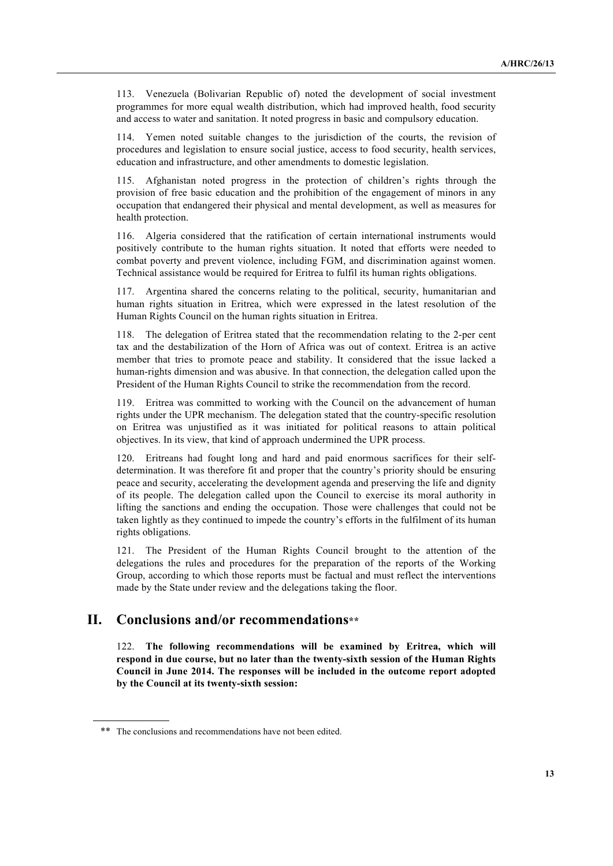113. Venezuela (Bolivarian Republic of) noted the development of social investment programmes for more equal wealth distribution, which had improved health, food security and access to water and sanitation. It noted progress in basic and compulsory education.

114. Yemen noted suitable changes to the jurisdiction of the courts, the revision of procedures and legislation to ensure social justice, access to food security, health services, education and infrastructure, and other amendments to domestic legislation.

115. Afghanistan noted progress in the protection of children's rights through the provision of free basic education and the prohibition of the engagement of minors in any occupation that endangered their physical and mental development, as well as measures for health protection.

116. Algeria considered that the ratification of certain international instruments would positively contribute to the human rights situation. It noted that efforts were needed to combat poverty and prevent violence, including FGM, and discrimination against women. Technical assistance would be required for Eritrea to fulfil its human rights obligations.

117. Argentina shared the concerns relating to the political, security, humanitarian and human rights situation in Eritrea, which were expressed in the latest resolution of the Human Rights Council on the human rights situation in Eritrea.

118. The delegation of Eritrea stated that the recommendation relating to the 2-per cent tax and the destabilization of the Horn of Africa was out of context. Eritrea is an active member that tries to promote peace and stability. It considered that the issue lacked a human-rights dimension and was abusive. In that connection, the delegation called upon the President of the Human Rights Council to strike the recommendation from the record.

119. Eritrea was committed to working with the Council on the advancement of human rights under the UPR mechanism. The delegation stated that the country-specific resolution on Eritrea was unjustified as it was initiated for political reasons to attain political objectives. In its view, that kind of approach undermined the UPR process.

120. Eritreans had fought long and hard and paid enormous sacrifices for their selfdetermination. It was therefore fit and proper that the country's priority should be ensuring peace and security, accelerating the development agenda and preserving the life and dignity of its people. The delegation called upon the Council to exercise its moral authority in lifting the sanctions and ending the occupation. Those were challenges that could not be taken lightly as they continued to impede the country's efforts in the fulfilment of its human rights obligations.

121. The President of the Human Rights Council brought to the attention of the delegations the rules and procedures for the preparation of the reports of the Working Group, according to which those reports must be factual and must reflect the interventions made by the State under review and the delegations taking the floor.

### **II. Conclusions and/or recommendations\*\***

122. **The following recommendations will be examined by Eritrea, which will respond in due course, but no later than the twenty-sixth session of the Human Rights Council in June 2014. The responses will be included in the outcome report adopted by the Council at its twenty-sixth session:** 

<sup>\*\*</sup> The conclusions and recommendations have not been edited.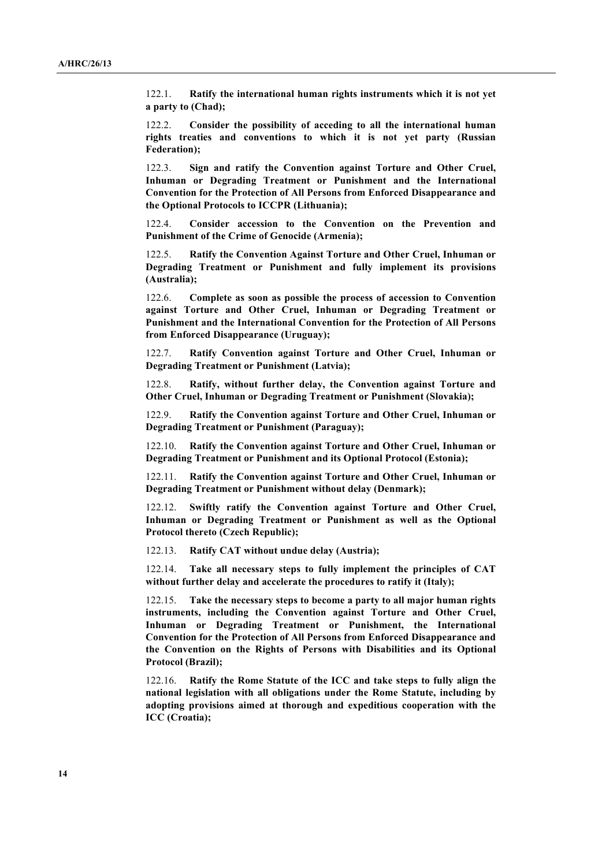122.1. **Ratify the international human rights instruments which it is not yet a party to (Chad);**

122.2. **Consider the possibility of acceding to all the international human rights treaties and conventions to which it is not yet party (Russian Federation);**

122.3. **Sign and ratify the Convention against Torture and Other Cruel, Inhuman or Degrading Treatment or Punishment and the International Convention for the Protection of All Persons from Enforced Disappearance and the Optional Protocols to ICCPR (Lithuania);**

122.4. **Consider accession to the Convention on the Prevention and Punishment of the Crime of Genocide (Armenia);** 

122.5. **Ratify the Convention Against Torture and Other Cruel, Inhuman or Degrading Treatment or Punishment and fully implement its provisions (Australia);** 

122.6. **Complete as soon as possible the process of accession to Convention against Torture and Other Cruel, Inhuman or Degrading Treatment or Punishment and the International Convention for the Protection of All Persons from Enforced Disappearance (Uruguay);**

122.7. **Ratify Convention against Torture and Other Cruel, Inhuman or Degrading Treatment or Punishment (Latvia);**

122.8. **Ratify, without further delay, the Convention against Torture and Other Cruel, Inhuman or Degrading Treatment or Punishment (Slovakia);**

122.9. **Ratify the Convention against Torture and Other Cruel, Inhuman or Degrading Treatment or Punishment (Paraguay);**

122.10. **Ratify the Convention against Torture and Other Cruel, Inhuman or Degrading Treatment or Punishment and its Optional Protocol (Estonia);**

122.11. **Ratify the Convention against Torture and Other Cruel, Inhuman or Degrading Treatment or Punishment without delay (Denmark);**

122.12. **Swiftly ratify the Convention against Torture and Other Cruel, Inhuman or Degrading Treatment or Punishment as well as the Optional Protocol thereto (Czech Republic);**

122.13. **Ratify CAT without undue delay (Austria);**

122.14. **Take all necessary steps to fully implement the principles of CAT without further delay and accelerate the procedures to ratify it (Italy);**

122.15. **Take the necessary steps to become a party to all major human rights instruments, including the Convention against Torture and Other Cruel, Inhuman or Degrading Treatment or Punishment, the International Convention for the Protection of All Persons from Enforced Disappearance and the Convention on the Rights of Persons with Disabilities and its Optional Protocol (Brazil);**

122.16. **Ratify the Rome Statute of the ICC and take steps to fully align the national legislation with all obligations under the Rome Statute, including by adopting provisions aimed at thorough and expeditious cooperation with the ICC (Croatia);**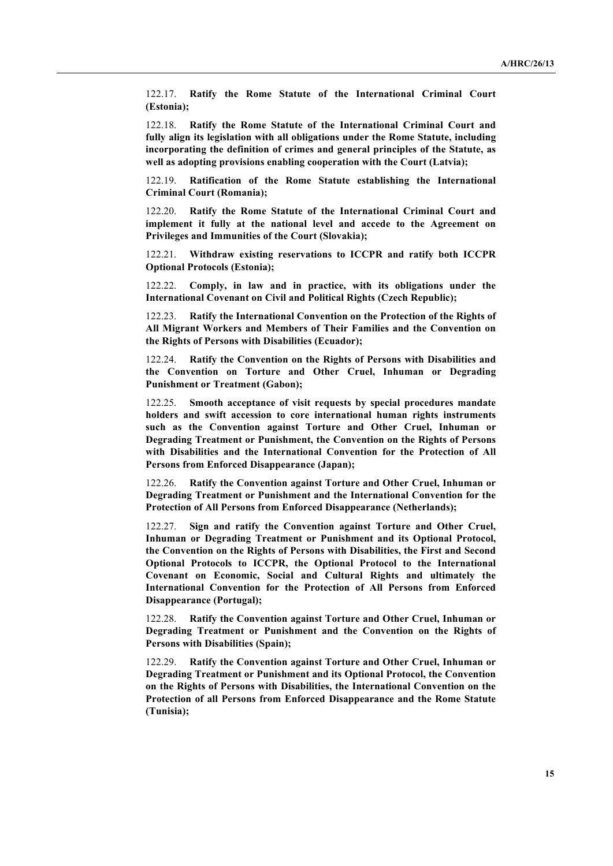122.17. **Ratify the Rome Statute of the International Criminal Court (Estonia);**

122.18. **Ratify the Rome Statute of the International Criminal Court and fully align its legislation with all obligations under the Rome Statute, including incorporating the definition of crimes and general principles of the Statute, as well as adopting provisions enabling cooperation with the Court (Latvia);** 

122.19. **Ratification of the Rome Statute establishing the International Criminal Court (Romania);**

122.20. **Ratify the Rome Statute of the International Criminal Court and implement it fully at the national level and accede to the Agreement on Privileges and Immunities of the Court (Slovakia);**

122.21. **Withdraw existing reservations to ICCPR and ratify both ICCPR Optional Protocols (Estonia);**

122.22. **Comply, in law and in practice, with its obligations under the International Covenant on Civil and Political Rights (Czech Republic);**

122.23. **Ratify the International Convention on the Protection of the Rights of All Migrant Workers and Members of Their Families and the Convention on the Rights of Persons with Disabilities (Ecuador);**

122.24. **Ratify the Convention on the Rights of Persons with Disabilities and the Convention on Torture and Other Cruel, Inhuman or Degrading Punishment or Treatment (Gabon);**

122.25. **Smooth acceptance of visit requests by special procedures mandate holders and swift accession to core international human rights instruments such as the Convention against Torture and Other Cruel, Inhuman or Degrading Treatment or Punishment, the Convention on the Rights of Persons with Disabilities and the International Convention for the Protection of All Persons from Enforced Disappearance (Japan);**

122.26. **Ratify the Convention against Torture and Other Cruel, Inhuman or Degrading Treatment or Punishment and the International Convention for the Protection of All Persons from Enforced Disappearance (Netherlands);**

122.27. **Sign and ratify the Convention against Torture and Other Cruel, Inhuman or Degrading Treatment or Punishment and its Optional Protocol, the Convention on the Rights of Persons with Disabilities, the First and Second Optional Protocols to ICCPR, the Optional Protocol to the International Covenant on Economic, Social and Cultural Rights and ultimately the International Convention for the Protection of All Persons from Enforced Disappearance (Portugal);**

122.28. **Ratify the Convention against Torture and Other Cruel, Inhuman or Degrading Treatment or Punishment and the Convention on the Rights of Persons with Disabilities (Spain);**

122.29. **Ratify the Convention against Torture and Other Cruel, Inhuman or Degrading Treatment or Punishment and its Optional Protocol, the Convention on the Rights of Persons with Disabilities, the International Convention on the Protection of all Persons from Enforced Disappearance and the Rome Statute (Tunisia);**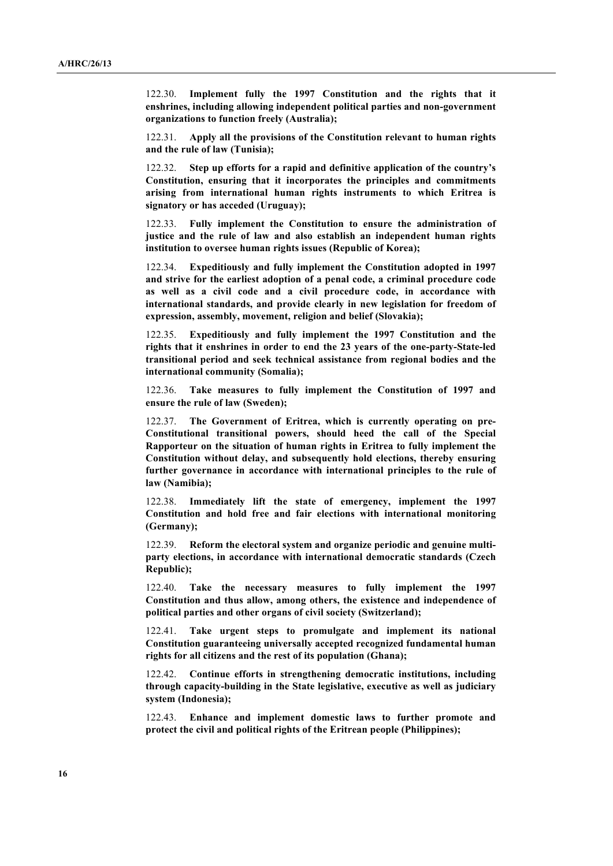122.30. **Implement fully the 1997 Constitution and the rights that it enshrines, including allowing independent political parties and non-government organizations to function freely (Australia);** 

122.31. **Apply all the provisions of the Constitution relevant to human rights and the rule of law (Tunisia);**

122.32. **Step up efforts for a rapid and definitive application of the country's Constitution, ensuring that it incorporates the principles and commitments arising from international human rights instruments to which Eritrea is signatory or has acceded (Uruguay);**

122.33. **Fully implement the Constitution to ensure the administration of justice and the rule of law and also establish an independent human rights institution to oversee human rights issues (Republic of Korea);**

122.34. **Expeditiously and fully implement the Constitution adopted in 1997 and strive for the earliest adoption of a penal code, a criminal procedure code as well as a civil code and a civil procedure code, in accordance with international standards, and provide clearly in new legislation for freedom of expression, assembly, movement, religion and belief (Slovakia);**

122.35. **Expeditiously and fully implement the 1997 Constitution and the rights that it enshrines in order to end the 23 years of the one-party-State-led transitional period and seek technical assistance from regional bodies and the international community (Somalia);**

122.36. **Take measures to fully implement the Constitution of 1997 and ensure the rule of law (Sweden);**

122.37. **The Government of Eritrea, which is currently operating on pre-Constitutional transitional powers, should heed the call of the Special Rapporteur on the situation of human rights in Eritrea to fully implement the Constitution without delay, and subsequently hold elections, thereby ensuring further governance in accordance with international principles to the rule of law (Namibia);**

122.38. **Immediately lift the state of emergency, implement the 1997 Constitution and hold free and fair elections with international monitoring (Germany);**

122.39. **Reform the electoral system and organize periodic and genuine multiparty elections, in accordance with international democratic standards (Czech Republic);**

122.40. **Take the necessary measures to fully implement the 1997 Constitution and thus allow, among others, the existence and independence of political parties and other organs of civil society (Switzerland);**

122.41. **Take urgent steps to promulgate and implement its national Constitution guaranteeing universally accepted recognized fundamental human rights for all citizens and the rest of its population (Ghana);**

122.42. **Continue efforts in strengthening democratic institutions, including through capacity-building in the State legislative, executive as well as judiciary system (Indonesia);**

122.43. **Enhance and implement domestic laws to further promote and protect the civil and political rights of the Eritrean people (Philippines);**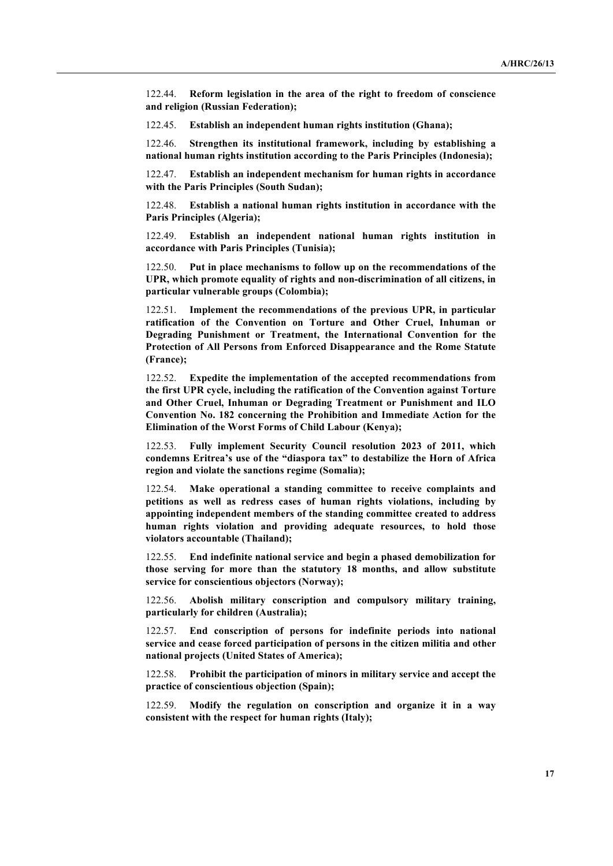122.44. **Reform legislation in the area of the right to freedom of conscience and religion (Russian Federation);**

122.45. **Establish an independent human rights institution (Ghana);**

122.46. **Strengthen its institutional framework, including by establishing a national human rights institution according to the Paris Principles (Indonesia);**

122.47. **Establish an independent mechanism for human rights in accordance with the Paris Principles (South Sudan);**

122.48. **Establish a national human rights institution in accordance with the Paris Principles (Algeria);**

122.49. **Establish an independent national human rights institution in accordance with Paris Principles (Tunisia);**

122.50. **Put in place mechanisms to follow up on the recommendations of the UPR, which promote equality of rights and non-discrimination of all citizens, in particular vulnerable groups (Colombia);**

122.51. **Implement the recommendations of the previous UPR, in particular ratification of the Convention on Torture and Other Cruel, Inhuman or Degrading Punishment or Treatment, the International Convention for the Protection of All Persons from Enforced Disappearance and the Rome Statute (France);**

122.52. **Expedite the implementation of the accepted recommendations from the first UPR cycle, including the ratification of the Convention against Torture and Other Cruel, Inhuman or Degrading Treatment or Punishment and ILO Convention No. 182 concerning the Prohibition and Immediate Action for the Elimination of the Worst Forms of Child Labour (Kenya);**

122.53. **Fully implement Security Council resolution 2023 of 2011, which condemns Eritrea's use of the "diaspora tax" to destabilize the Horn of Africa region and violate the sanctions regime (Somalia);**

122.54. **Make operational a standing committee to receive complaints and petitions as well as redress cases of human rights violations, including by appointing independent members of the standing committee created to address human rights violation and providing adequate resources, to hold those violators accountable (Thailand);**

122.55. **End indefinite national service and begin a phased demobilization for those serving for more than the statutory 18 months, and allow substitute service for conscientious objectors (Norway);**

122.56. **Abolish military conscription and compulsory military training, particularly for children (Australia);**

122.57. **End conscription of persons for indefinite periods into national service and cease forced participation of persons in the citizen militia and other national projects (United States of America);**

122.58. **Prohibit the participation of minors in military service and accept the practice of conscientious objection (Spain);**

122.59. **Modify the regulation on conscription and organize it in a way consistent with the respect for human rights (Italy);**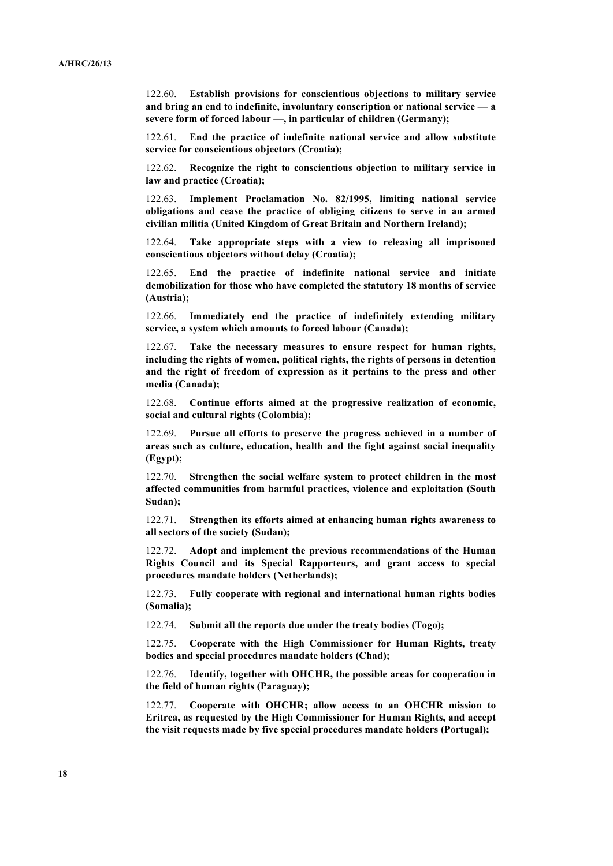122.60. **Establish provisions for conscientious objections to military service and bring an end to indefinite, involuntary conscription or national service — a severe form of forced labour —, in particular of children (Germany);**

122.61. **End the practice of indefinite national service and allow substitute service for conscientious objectors (Croatia);**

122.62. **Recognize the right to conscientious objection to military service in law and practice (Croatia);**

122.63. **Implement Proclamation No. 82/1995, limiting national service obligations and cease the practice of obliging citizens to serve in an armed civilian militia (United Kingdom of Great Britain and Northern Ireland);**

122.64. **Take appropriate steps with a view to releasing all imprisoned conscientious objectors without delay (Croatia);**

122.65. **End the practice of indefinite national service and initiate demobilization for those who have completed the statutory 18 months of service (Austria);**

122.66. **Immediately end the practice of indefinitely extending military service, a system which amounts to forced labour (Canada);**

122.67. **Take the necessary measures to ensure respect for human rights, including the rights of women, political rights, the rights of persons in detention and the right of freedom of expression as it pertains to the press and other media (Canada);**

122.68. **Continue efforts aimed at the progressive realization of economic, social and cultural rights (Colombia);**

122.69. **Pursue all efforts to preserve the progress achieved in a number of areas such as culture, education, health and the fight against social inequality (Egypt);**

122.70. **Strengthen the social welfare system to protect children in the most affected communities from harmful practices, violence and exploitation (South Sudan);**

122.71. **Strengthen its efforts aimed at enhancing human rights awareness to all sectors of the society (Sudan);**

122.72. **Adopt and implement the previous recommendations of the Human Rights Council and its Special Rapporteurs, and grant access to special procedures mandate holders (Netherlands);**

122.73. **Fully cooperate with regional and international human rights bodies (Somalia);**

122.74. **Submit all the reports due under the treaty bodies (Togo);**

122.75. **Cooperate with the High Commissioner for Human Rights, treaty bodies and special procedures mandate holders (Chad);**

122.76. **Identify, together with OHCHR, the possible areas for cooperation in the field of human rights (Paraguay);**

122.77. **Cooperate with OHCHR; allow access to an OHCHR mission to Eritrea, as requested by the High Commissioner for Human Rights, and accept the visit requests made by five special procedures mandate holders (Portugal);**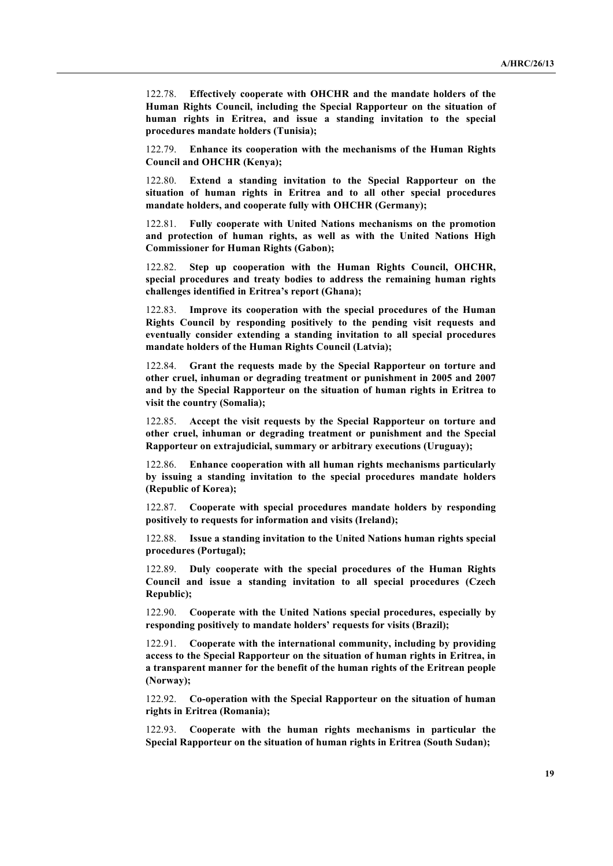122.78. **Effectively cooperate with OHCHR and the mandate holders of the Human Rights Council, including the Special Rapporteur on the situation of human rights in Eritrea, and issue a standing invitation to the special procedures mandate holders (Tunisia);**

122.79. **Enhance its cooperation with the mechanisms of the Human Rights Council and OHCHR (Kenya);**

122.80. **Extend a standing invitation to the Special Rapporteur on the situation of human rights in Eritrea and to all other special procedures mandate holders, and cooperate fully with OHCHR (Germany);**

122.81. **Fully cooperate with United Nations mechanisms on the promotion and protection of human rights, as well as with the United Nations High Commissioner for Human Rights (Gabon);**

122.82. **Step up cooperation with the Human Rights Council, OHCHR, special procedures and treaty bodies to address the remaining human rights challenges identified in Eritrea's report (Ghana);**

122.83. **Improve its cooperation with the special procedures of the Human Rights Council by responding positively to the pending visit requests and eventually consider extending a standing invitation to all special procedures mandate holders of the Human Rights Council (Latvia);**

122.84. **Grant the requests made by the Special Rapporteur on torture and other cruel, inhuman or degrading treatment or punishment in 2005 and 2007 and by the Special Rapporteur on the situation of human rights in Eritrea to visit the country (Somalia);**

122.85. **Accept the visit requests by the Special Rapporteur on torture and other cruel, inhuman or degrading treatment or punishment and the Special Rapporteur on extrajudicial, summary or arbitrary executions (Uruguay);**

122.86. **Enhance cooperation with all human rights mechanisms particularly by issuing a standing invitation to the special procedures mandate holders (Republic of Korea);**

122.87. **Cooperate with special procedures mandate holders by responding positively to requests for information and visits (Ireland);**

122.88. **Issue a standing invitation to the United Nations human rights special procedures (Portugal);**

122.89. **Duly cooperate with the special procedures of the Human Rights Council and issue a standing invitation to all special procedures (Czech Republic);**

122.90. **Cooperate with the United Nations special procedures, especially by responding positively to mandate holders' requests for visits (Brazil);**

122.91. **Cooperate with the international community, including by providing access to the Special Rapporteur on the situation of human rights in Eritrea, in a transparent manner for the benefit of the human rights of the Eritrean people (Norway);**

122.92. **Co-operation with the Special Rapporteur on the situation of human rights in Eritrea (Romania);**

122.93. **Cooperate with the human rights mechanisms in particular the Special Rapporteur on the situation of human rights in Eritrea (South Sudan);**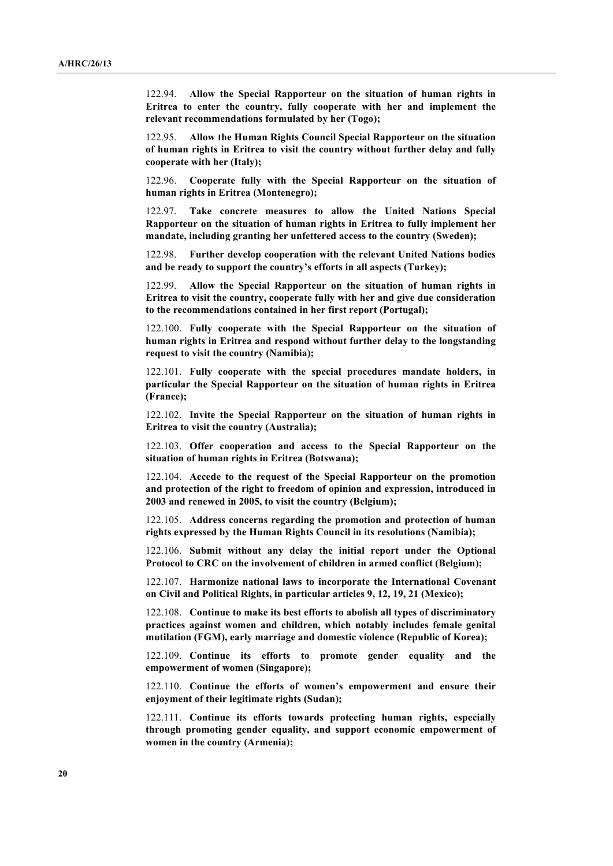122.94. **Allow the Special Rapporteur on the situation of human rights in Eritrea to enter the country, fully cooperate with her and implement the relevant recommendations formulated by her (Togo);**

122.95. **Allow the Human Rights Council Special Rapporteur on the situation of human rights in Eritrea to visit the country without further delay and fully cooperate with her (Italy);**

122.96. **Cooperate fully with the Special Rapporteur on the situation of human rights in Eritrea (Montenegro);**

122.97. **Take concrete measures to allow the United Nations Special Rapporteur on the situation of human rights in Eritrea to fully implement her mandate, including granting her unfettered access to the country (Sweden);**

122.98. **Further develop cooperation with the relevant United Nations bodies and be ready to support the country's efforts in all aspects (Turkey);** 

122.99. **Allow the Special Rapporteur on the situation of human rights in Eritrea to visit the country, cooperate fully with her and give due consideration to the recommendations contained in her first report (Portugal);**

122.100. **Fully cooperate with the Special Rapporteur on the situation of human rights in Eritrea and respond without further delay to the longstanding request to visit the country (Namibia);**

122.101. **Fully cooperate with the special procedures mandate holders, in particular the Special Rapporteur on the situation of human rights in Eritrea (France);**

122.102. **Invite the Special Rapporteur on the situation of human rights in Eritrea to visit the country (Australia);**

122.103. **Offer cooperation and access to the Special Rapporteur on the situation of human rights in Eritrea (Botswana);**

122.104. **Accede to the request of the Special Rapporteur on the promotion and protection of the right to freedom of opinion and expression, introduced in 2003 and renewed in 2005, to visit the country (Belgium);**

122.105. **Address concerns regarding the promotion and protection of human rights expressed by the Human Rights Council in its resolutions (Namibia);**

122.106. **Submit without any delay the initial report under the Optional Protocol to CRC on the involvement of children in armed conflict (Belgium);**

122.107. **Harmonize national laws to incorporate the International Covenant on Civil and Political Rights, in particular articles 9, 12, 19, 21 (Mexico);**

122.108. **Continue to make its best efforts to abolish all types of discriminatory practices against women and children, which notably includes female genital mutilation (FGM), early marriage and domestic violence (Republic of Korea);**

122.109. **Continue its efforts to promote gender equality and the empowerment of women (Singapore);** 

122.110. **Continue the efforts of women's empowerment and ensure their enjoyment of their legitimate rights (Sudan);**

122.111. **Continue its efforts towards protecting human rights, especially through promoting gender equality, and support economic empowerment of women in the country (Armenia);**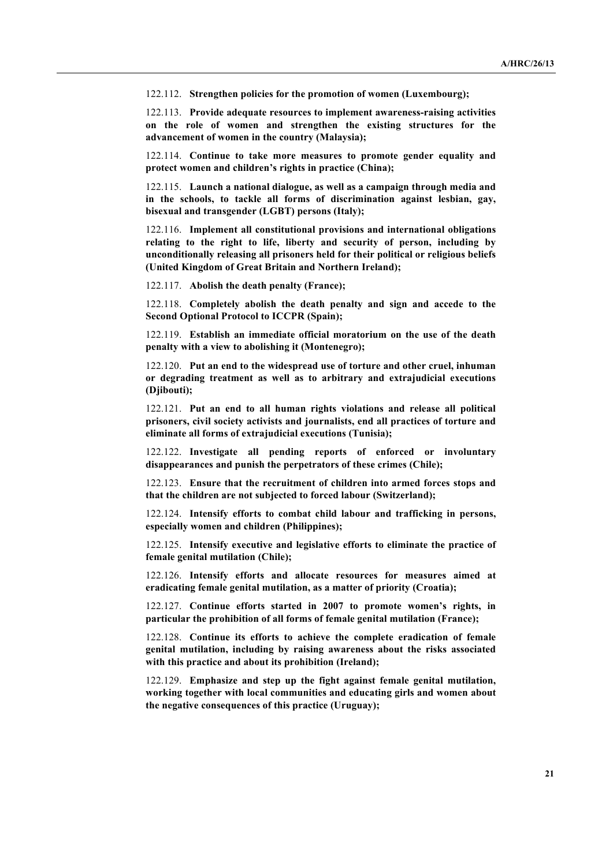122.112. **Strengthen policies for the promotion of women (Luxembourg);**

122.113. **Provide adequate resources to implement awareness-raising activities on the role of women and strengthen the existing structures for the advancement of women in the country (Malaysia);**

122.114. **Continue to take more measures to promote gender equality and protect women and children's rights in practice (China);**

122.115. **Launch a national dialogue, as well as a campaign through media and in the schools, to tackle all forms of discrimination against lesbian, gay, bisexual and transgender (LGBT) persons (Italy);**

122.116. **Implement all constitutional provisions and international obligations relating to the right to life, liberty and security of person, including by unconditionally releasing all prisoners held for their political or religious beliefs (United Kingdom of Great Britain and Northern Ireland);**

122.117. **Abolish the death penalty (France);**

122.118. **Completely abolish the death penalty and sign and accede to the Second Optional Protocol to ICCPR (Spain);**

122.119. **Establish an immediate official moratorium on the use of the death penalty with a view to abolishing it (Montenegro);**

122.120. **Put an end to the widespread use of torture and other cruel, inhuman or degrading treatment as well as to arbitrary and extrajudicial executions (Djibouti);**

122.121. **Put an end to all human rights violations and release all political prisoners, civil society activists and journalists, end all practices of torture and eliminate all forms of extrajudicial executions (Tunisia);**

122.122. **Investigate all pending reports of enforced or involuntary disappearances and punish the perpetrators of these crimes (Chile);**

122.123. **Ensure that the recruitment of children into armed forces stops and that the children are not subjected to forced labour (Switzerland);**

122.124. **Intensify efforts to combat child labour and trafficking in persons, especially women and children (Philippines);**

122.125. **Intensify executive and legislative efforts to eliminate the practice of female genital mutilation (Chile);**

122.126. **Intensify efforts and allocate resources for measures aimed at eradicating female genital mutilation, as a matter of priority (Croatia);**

122.127. **Continue efforts started in 2007 to promote women's rights, in particular the prohibition of all forms of female genital mutilation (France);**

122.128. **Continue its efforts to achieve the complete eradication of female genital mutilation, including by raising awareness about the risks associated with this practice and about its prohibition (Ireland);**

122.129. **Emphasize and step up the fight against female genital mutilation, working together with local communities and educating girls and women about the negative consequences of this practice (Uruguay);**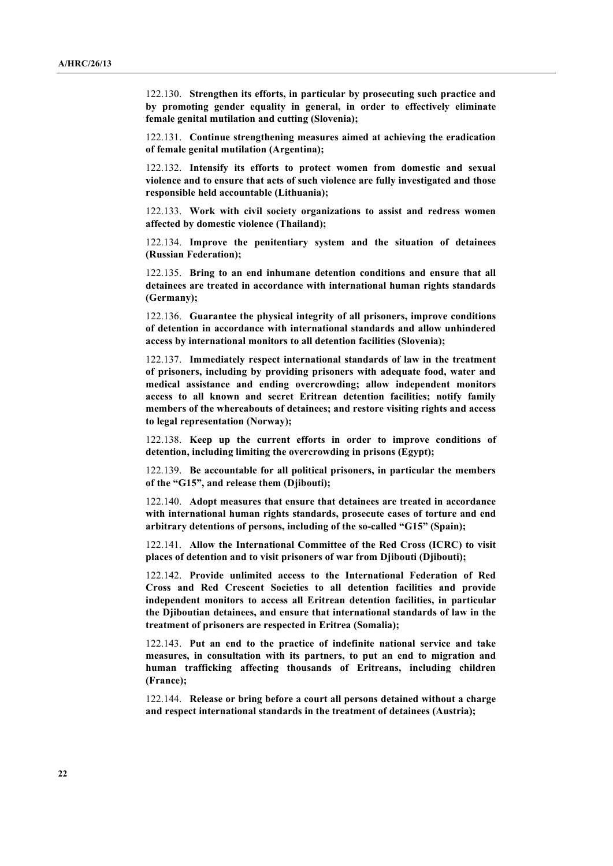122.130. **Strengthen its efforts, in particular by prosecuting such practice and by promoting gender equality in general, in order to effectively eliminate female genital mutilation and cutting (Slovenia);**

122.131. **Continue strengthening measures aimed at achieving the eradication of female genital mutilation (Argentina);**

122.132. **Intensify its efforts to protect women from domestic and sexual violence and to ensure that acts of such violence are fully investigated and those responsible held accountable (Lithuania);**

122.133. **Work with civil society organizations to assist and redress women affected by domestic violence (Thailand);**

122.134. **Improve the penitentiary system and the situation of detainees (Russian Federation);**

122.135. **Bring to an end inhumane detention conditions and ensure that all detainees are treated in accordance with international human rights standards (Germany);**

122.136. **Guarantee the physical integrity of all prisoners, improve conditions of detention in accordance with international standards and allow unhindered access by international monitors to all detention facilities (Slovenia);**

122.137. **Immediately respect international standards of law in the treatment of prisoners, including by providing prisoners with adequate food, water and medical assistance and ending overcrowding; allow independent monitors access to all known and secret Eritrean detention facilities; notify family members of the whereabouts of detainees; and restore visiting rights and access to legal representation (Norway);**

122.138. **Keep up the current efforts in order to improve conditions of detention, including limiting the overcrowding in prisons (Egypt);**

122.139. **Be accountable for all political prisoners, in particular the members of the "G15", and release them (Djibouti);**

122.140. **Adopt measures that ensure that detainees are treated in accordance with international human rights standards, prosecute cases of torture and end arbitrary detentions of persons, including of the so-called "G15" (Spain);**

122.141. **Allow the International Committee of the Red Cross (ICRC) to visit places of detention and to visit prisoners of war from Djibouti (Djibouti);**

122.142. **Provide unlimited access to the International Federation of Red Cross and Red Crescent Societies to all detention facilities and provide independent monitors to access all Eritrean detention facilities, in particular the Djiboutian detainees, and ensure that international standards of law in the treatment of prisoners are respected in Eritrea (Somalia);**

122.143. **Put an end to the practice of indefinite national service and take measures, in consultation with its partners, to put an end to migration and human trafficking affecting thousands of Eritreans, including children (France);**

122.144. **Release or bring before a court all persons detained without a charge and respect international standards in the treatment of detainees (Austria);**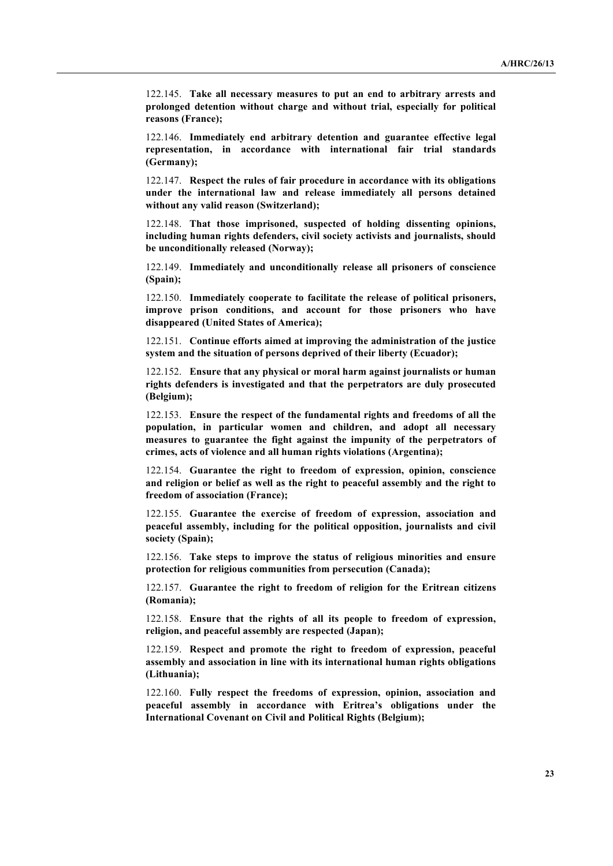122.145. **Take all necessary measures to put an end to arbitrary arrests and prolonged detention without charge and without trial, especially for political reasons (France);**

122.146. **Immediately end arbitrary detention and guarantee effective legal representation, in accordance with international fair trial standards (Germany);**

122.147. **Respect the rules of fair procedure in accordance with its obligations under the international law and release immediately all persons detained without any valid reason (Switzerland);**

122.148. **That those imprisoned, suspected of holding dissenting opinions, including human rights defenders, civil society activists and journalists, should be unconditionally released (Norway);**

122.149. **Immediately and unconditionally release all prisoners of conscience (Spain);** 

122.150. **Immediately cooperate to facilitate the release of political prisoners, improve prison conditions, and account for those prisoners who have disappeared (United States of America);**

122.151. **Continue efforts aimed at improving the administration of the justice system and the situation of persons deprived of their liberty (Ecuador);**

122.152. **Ensure that any physical or moral harm against journalists or human rights defenders is investigated and that the perpetrators are duly prosecuted (Belgium);**

122.153. **Ensure the respect of the fundamental rights and freedoms of all the population, in particular women and children, and adopt all necessary measures to guarantee the fight against the impunity of the perpetrators of crimes, acts of violence and all human rights violations (Argentina);**

122.154. **Guarantee the right to freedom of expression, opinion, conscience and religion or belief as well as the right to peaceful assembly and the right to freedom of association (France);**

122.155. **Guarantee the exercise of freedom of expression, association and peaceful assembly, including for the political opposition, journalists and civil society (Spain);**

122.156. **Take steps to improve the status of religious minorities and ensure protection for religious communities from persecution (Canada);**

122.157. **Guarantee the right to freedom of religion for the Eritrean citizens (Romania);**

122.158. **Ensure that the rights of all its people to freedom of expression, religion, and peaceful assembly are respected (Japan);**

122.159. **Respect and promote the right to freedom of expression, peaceful assembly and association in line with its international human rights obligations (Lithuania);**

122.160. **Fully respect the freedoms of expression, opinion, association and peaceful assembly in accordance with Eritrea's obligations under the International Covenant on Civil and Political Rights (Belgium);**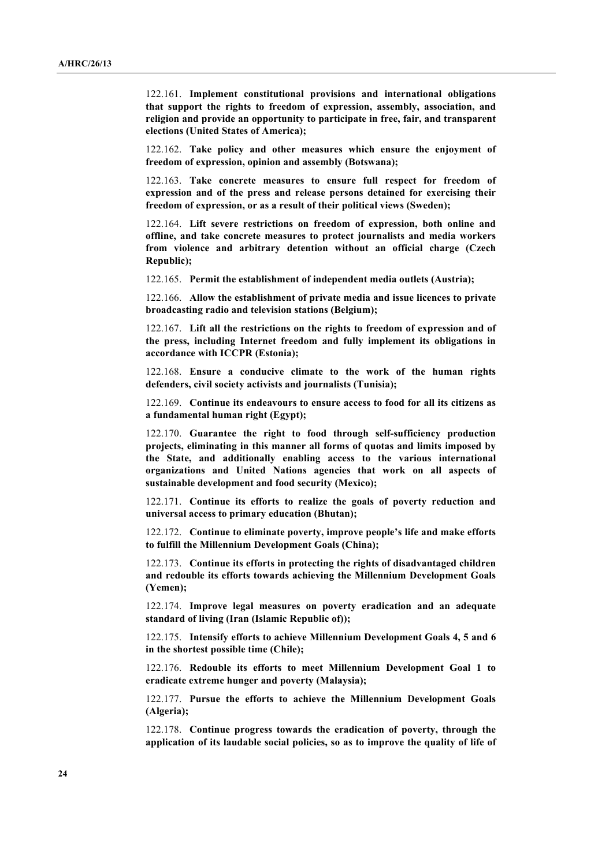122.161. **Implement constitutional provisions and international obligations that support the rights to freedom of expression, assembly, association, and religion and provide an opportunity to participate in free, fair, and transparent elections (United States of America);**

122.162. **Take policy and other measures which ensure the enjoyment of freedom of expression, opinion and assembly (Botswana);**

122.163. **Take concrete measures to ensure full respect for freedom of expression and of the press and release persons detained for exercising their freedom of expression, or as a result of their political views (Sweden);**

122.164. **Lift severe restrictions on freedom of expression, both online and offline, and take concrete measures to protect journalists and media workers from violence and arbitrary detention without an official charge (Czech Republic);**

122.165. **Permit the establishment of independent media outlets (Austria);**

122.166. **Allow the establishment of private media and issue licences to private broadcasting radio and television stations (Belgium);**

122.167. **Lift all the restrictions on the rights to freedom of expression and of the press, including Internet freedom and fully implement its obligations in accordance with ICCPR (Estonia);**

122.168. **Ensure a conducive climate to the work of the human rights defenders, civil society activists and journalists (Tunisia);**

122.169. **Continue its endeavours to ensure access to food for all its citizens as a fundamental human right (Egypt);**

122.170. **Guarantee the right to food through self-sufficiency production projects, eliminating in this manner all forms of quotas and limits imposed by the State, and additionally enabling access to the various international organizations and United Nations agencies that work on all aspects of sustainable development and food security (Mexico);**

122.171. **Continue its efforts to realize the goals of poverty reduction and universal access to primary education (Bhutan);**

122.172. **Continue to eliminate poverty, improve people's life and make efforts to fulfill the Millennium Development Goals (China);**

122.173. **Continue its efforts in protecting the rights of disadvantaged children and redouble its efforts towards achieving the Millennium Development Goals (Yemen);**

122.174. **Improve legal measures on poverty eradication and an adequate standard of living (Iran (Islamic Republic of));**

122.175. **Intensify efforts to achieve Millennium Development Goals 4, 5 and 6 in the shortest possible time (Chile);**

122.176. **Redouble its efforts to meet Millennium Development Goal 1 to eradicate extreme hunger and poverty (Malaysia);**

122.177. **Pursue the efforts to achieve the Millennium Development Goals (Algeria);**

122.178. **Continue progress towards the eradication of poverty, through the application of its laudable social policies, so as to improve the quality of life of**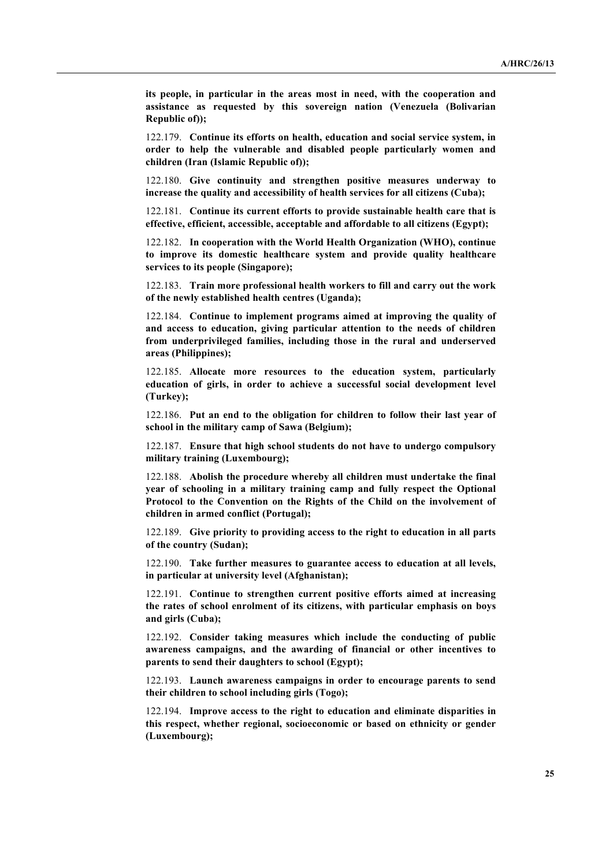**its people, in particular in the areas most in need, with the cooperation and assistance as requested by this sovereign nation (Venezuela (Bolivarian Republic of));**

122.179. **Continue its efforts on health, education and social service system, in order to help the vulnerable and disabled people particularly women and children (Iran (Islamic Republic of));**

122.180. **Give continuity and strengthen positive measures underway to increase the quality and accessibility of health services for all citizens (Cuba);**

122.181. **Continue its current efforts to provide sustainable health care that is effective, efficient, accessible, acceptable and affordable to all citizens (Egypt);**

122.182. **In cooperation with the World Health Organization (WHO), continue to improve its domestic healthcare system and provide quality healthcare services to its people (Singapore);**

122.183. **Train more professional health workers to fill and carry out the work of the newly established health centres (Uganda);**

122.184. **Continue to implement programs aimed at improving the quality of and access to education, giving particular attention to the needs of children from underprivileged families, including those in the rural and underserved areas (Philippines);**

122.185. **Allocate more resources to the education system, particularly education of girls, in order to achieve a successful social development level (Turkey);**

122.186. **Put an end to the obligation for children to follow their last year of school in the military camp of Sawa (Belgium);** 

122.187. **Ensure that high school students do not have to undergo compulsory military training (Luxembourg);**

122.188. **Abolish the procedure whereby all children must undertake the final year of schooling in a military training camp and fully respect the Optional Protocol to the Convention on the Rights of the Child on the involvement of children in armed conflict (Portugal);**

122.189. **Give priority to providing access to the right to education in all parts of the country (Sudan);**

122.190. **Take further measures to guarantee access to education at all levels, in particular at university level (Afghanistan);**

122.191. **Continue to strengthen current positive efforts aimed at increasing the rates of school enrolment of its citizens, with particular emphasis on boys and girls (Cuba);**

122.192. **Consider taking measures which include the conducting of public awareness campaigns, and the awarding of financial or other incentives to parents to send their daughters to school (Egypt);**

122.193. **Launch awareness campaigns in order to encourage parents to send their children to school including girls (Togo);**

122.194. **Improve access to the right to education and eliminate disparities in this respect, whether regional, socioeconomic or based on ethnicity or gender (Luxembourg);**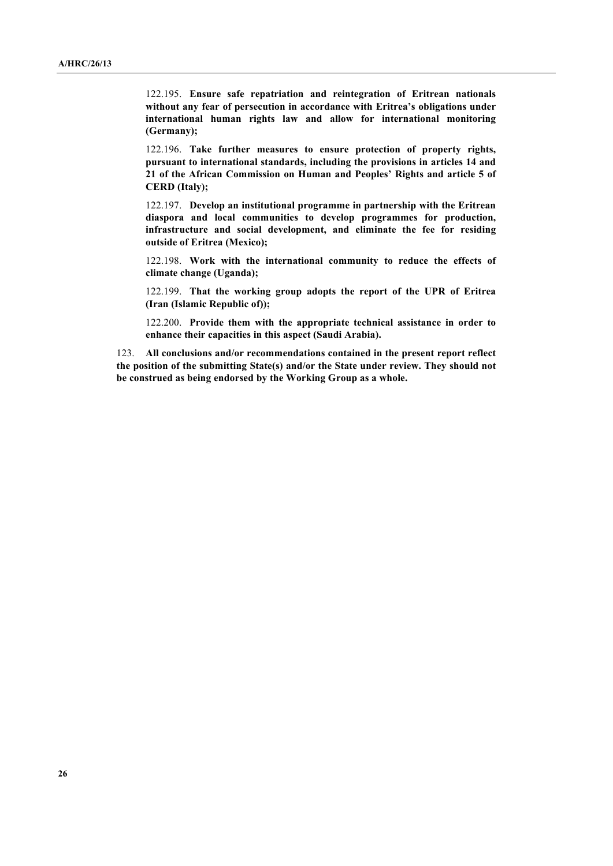122.195. **Ensure safe repatriation and reintegration of Eritrean nationals without any fear of persecution in accordance with Eritrea's obligations under international human rights law and allow for international monitoring (Germany);**

122.196. **Take further measures to ensure protection of property rights, pursuant to international standards, including the provisions in articles 14 and 21 of the African Commission on Human and Peoples' Rights and article 5 of CERD (Italy);**

122.197. **Develop an institutional programme in partnership with the Eritrean diaspora and local communities to develop programmes for production, infrastructure and social development, and eliminate the fee for residing outside of Eritrea (Mexico);** 

122.198. **Work with the international community to reduce the effects of climate change (Uganda);**

122.199. **That the working group adopts the report of the UPR of Eritrea (Iran (Islamic Republic of));**

122.200. **Provide them with the appropriate technical assistance in order to enhance their capacities in this aspect (Saudi Arabia).**

123. **All conclusions and/or recommendations contained in the present report reflect the position of the submitting State(s) and/or the State under review. They should not be construed as being endorsed by the Working Group as a whole.**